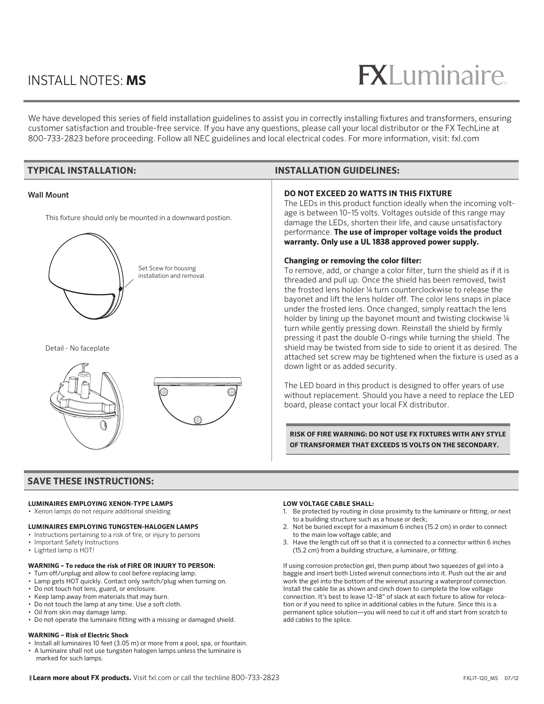### INSTALL NOTES: **MS**

## $R$

We have developed this series of field installation guidelines to assist you in correctly installing fixtures and transformers, ensuring customer satisfaction and trouble-free service. If you have any questions, please call your local distributor or the FX TechLine at 800-733-2823 before proceeding. Follow all NEC guidelines and local electrical codes. For more information, visit: fxl.com

| <b>TYPICAL INSTALLATION:</b>                                                                                                                                  | <b>INSTALLATION GUIDELINES:</b>                                                                                                                                                                                                                                                                                                                                                                                                                                                                                                                                                                                                                                                                                                                                                                                                                                                                                                                                                                                                                                                                                                                                                                                                                                                                                                                                                                                                                                                            |
|---------------------------------------------------------------------------------------------------------------------------------------------------------------|--------------------------------------------------------------------------------------------------------------------------------------------------------------------------------------------------------------------------------------------------------------------------------------------------------------------------------------------------------------------------------------------------------------------------------------------------------------------------------------------------------------------------------------------------------------------------------------------------------------------------------------------------------------------------------------------------------------------------------------------------------------------------------------------------------------------------------------------------------------------------------------------------------------------------------------------------------------------------------------------------------------------------------------------------------------------------------------------------------------------------------------------------------------------------------------------------------------------------------------------------------------------------------------------------------------------------------------------------------------------------------------------------------------------------------------------------------------------------------------------|
| <b>Wall Mount</b><br>This fixture should only be mounted in a downward postion.<br>Set Scew for housing<br>installation and removal.<br>Detail - No faceplate | <b>DO NOT EXCEED 20 WATTS IN THIS FIXTURE</b><br>The LEDs in this product function ideally when the incoming volt-<br>age is between 10-15 volts. Voltages outside of this range may<br>damage the LEDs, shorten their life, and cause unsatisfactory<br>performance. The use of improper voltage voids the product<br>warranty. Only use a UL 1838 approved power supply.<br>Changing or removing the color filter:<br>To remove, add, or change a color filter, turn the shield as if it is<br>threaded and pull up. Once the shield has been removed, twist<br>the frosted lens holder 1/4 turn counterclockwise to release the<br>bayonet and lift the lens holder off. The color lens snaps in place<br>under the frosted lens. Once changed, simply reattach the lens<br>holder by lining up the bayonet mount and twisting clockwise 1/4<br>turn while gently pressing down. Reinstall the shield by firmly<br>pressing it past the double O-rings while turning the shield. The<br>shield may be twisted from side to side to orient it as desired. The<br>attached set screw may be tightened when the fixture is used as a<br>down light or as added security.<br>The LED board in this product is designed to offer years of use<br>without replacement. Should you have a need to replace the LED<br>board, please contact your local FX distributor.<br>RISK OF FIRE WARNING: DO NOT USE FX FIXTURES WITH ANY STYLE<br>OF TRANSFORMER THAT EXCEEDS 15 VOLTS ON THE SECONDARY. |
|                                                                                                                                                               |                                                                                                                                                                                                                                                                                                                                                                                                                                                                                                                                                                                                                                                                                                                                                                                                                                                                                                                                                                                                                                                                                                                                                                                                                                                                                                                                                                                                                                                                                            |
| <b>SAVE THESE INSTRUCTIONS:</b>                                                                                                                               |                                                                                                                                                                                                                                                                                                                                                                                                                                                                                                                                                                                                                                                                                                                                                                                                                                                                                                                                                                                                                                                                                                                                                                                                                                                                                                                                                                                                                                                                                            |

### **LUMINAIRES EMPLOYING XENON-TYPE LAMPS**

- Xenon lamps do not require additional shielding
- **LUMINAIRES EMPLOYING TUNGSTEN-HALOGEN LAMPS**
- Instructions pertaining to a risk of fire, or injury to persons
- Important Safety Instructions
- Lighted lamp is HOT!

### **WARNING – To reduce the risk of FIRE OR INJURY TO PERSON:**

- Turn off/unplug and allow to cool before replacing lamp.
- Lamp gets HOT quickly. Contact only switch/plug when turning on.
- Do not touch hot lens, guard, or enclosure.
- Keep lamp away from materials that may burn.
- Do not touch the lamp at any time. Use a soft cloth.
- Oil from skin may damage lamp.
- Do not operate the luminaire fitting with a missing or damaged shield.

### **WARNING – Risk of Electric Shock**

- Install all luminaires 10 feet (3.05 m) or more from a pool, spa, or fountain.
- A luminaire shall not use tungsten halogen lamps unless the luminaire is marked for such lamps.

#### **LOW VOLTAGE CABLE SHALL:**

- 1. Be protected by routing in close proximity to the luminaire or fitting, or next to a building structure such as a house or deck;
- 2. Not be buried except for a maximum 6 inches (15.2 cm) in order to connect to the main low voltage cable; and
- 3. Have the length cut off so that it is connected to a connector within 6 inches (15.2 cm) from a building structure, a luminaire, or fitting.

If using corrosion protection gel, then pump about two squeezes of gel into a baggie and insert both Listed wirenut connections into it. Push out the air and work the gel into the bottom of the wirenut assuring a waterproof connection. Install the cable tie as shown and cinch down to complete the low voltage connection. It's best to leave 12–18" of slack at each fixture to allow for relocation or if you need to splice in additional cables in the future. Since this is a permanent splice solution—you will need to cut it off and start from scratch to add cables to the splice.